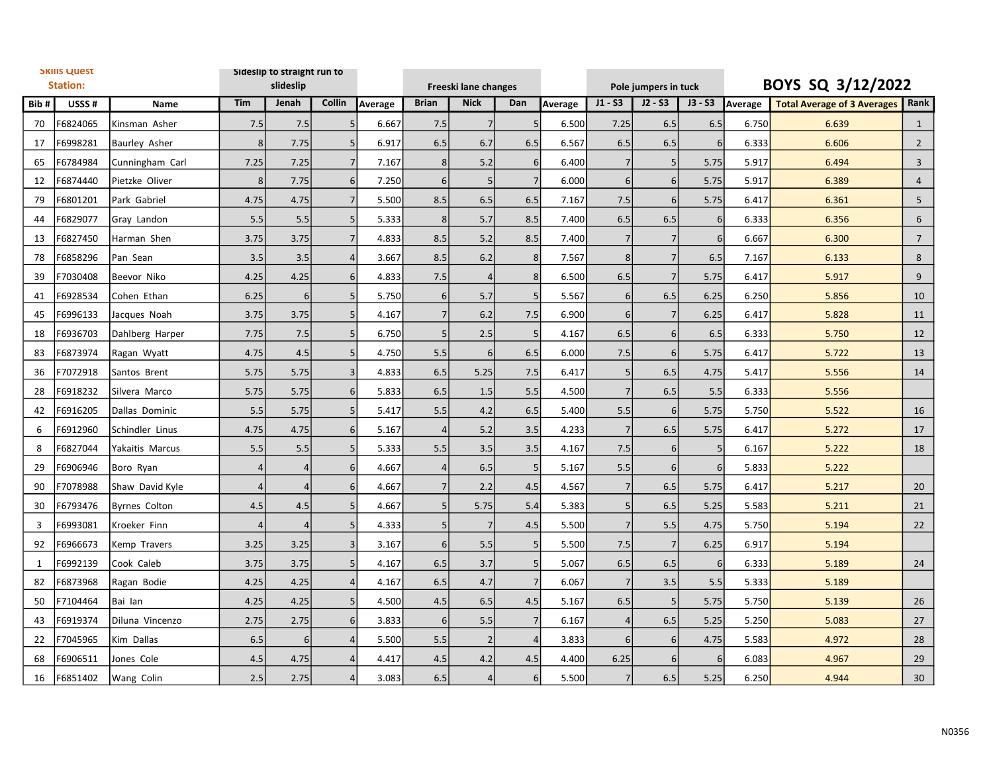| <b>SKIIIS QUEST</b><br><b>Station:</b> |          |                      | Sideslip to straight run to<br>slideslip |                 |                |         |                | Freeski lane changes |                  |         | Pole jumpers in tuck |                |                  | BOYS SQ 3/12/2022 |                                    |                 |
|----------------------------------------|----------|----------------------|------------------------------------------|-----------------|----------------|---------|----------------|----------------------|------------------|---------|----------------------|----------------|------------------|-------------------|------------------------------------|-----------------|
| Bib#                                   | USSS#    | Name                 | Tim                                      | Jenah           | Collin         | Average | <b>Brian</b>   | <b>Nick</b>          | Dan              | Average | $J1 - S3$            | $J2 - S3$      | $J3 - S3$        | Average           | <b>Total Average of 3 Averages</b> | Rank            |
| 70                                     | F6824065 | Kinsman Asher        | 7.5                                      | 7.5             |                | 6.667   | 7.5            | $\overline{7}$       | 5 <sup>1</sup>   | 6.500   | 7.25                 | 6.5            | 6.5              | 6.750             | 6.639                              | $\mathbf{1}$    |
| 17                                     | F6998281 | <b>Baurley Asher</b> | 8                                        | 7.75            |                | 6.917   | 6.5            | 6.7                  | 6.5              | 6.567   | 6.5                  | 6.5            | $6 \overline{6}$ | 6.333             | 6.606                              | $\overline{2}$  |
| 65                                     | F6784984 | Cunningham Carl      | 7.25                                     | 7.25            | 7              | 7.167   | 8              | 5.2                  | $6 \overline{6}$ | 6.400   | $\overline{7}$       | 5 <sub>l</sub> | 5.75             | 5.917             | 6.494                              | $\overline{3}$  |
| 12                                     | F6874440 | lPietzke Oliver      | 8 <sup>1</sup>                           | 7.75            | 6 <sup>1</sup> | 7.250   | 6 <sup>1</sup> | 5                    | $\overline{7}$   | 6.000   | 6                    | 6 <sup>1</sup> | 5.75             | 5.917             | 6.389                              | $\overline{4}$  |
| 79                                     | F6801201 | Park Gabriel         | 4.75                                     | 4.75            |                | 5.500   | 8.5            | 6.5                  | 6.5              | 7.167   | 7.5                  | 6 <sup>1</sup> | 5.75             | 6.417             | 6.361                              | 5               |
| 44                                     | F6829077 | Gray Landon          | 5.5                                      | 5.5             | 5 <sup>1</sup> | 5.333   | 8 <sup>1</sup> | 5.7                  | 8.5              | 7.400   | 6.5                  | 6.5            | $6 \mid$         | 6.333             | 6.356                              | 6               |
| 13                                     | F6827450 | Harman Shen          | 3.75                                     | 3.75            | $\overline{7}$ | 4.833   | 8.5            | 5.2                  | 8.5              | 7.400   | $\overline{7}$       | 7              | $6 \mid$         | 6.667             | 6.300                              | $\overline{7}$  |
| 78                                     | F6858296 | Pan Sean             | 3.5                                      | 3.5             |                | 3.667   | 8.5            | 6.2                  | 8 <sup>1</sup>   | 7.567   | 8                    | 7              | 6.5              | 7.167             | 6.133                              | 8               |
| 39                                     | F7030408 | Beevor Niko          | 4.25                                     | 4.25            | 6 <sup>1</sup> | 4.833   | 7.5            | $\overline{4}$       | 8                | 6.500   | 6.5                  | $\overline{7}$ | 5.75             | 6.417             | 5.917                              | 9               |
| 41                                     | F6928534 | Cohen Ethan          | 6.25                                     | 6               |                | 5.750   | 6              | 5.7                  | 5 <sub>l</sub>   | 5.567   | 6                    | 6.5            | 6.25             | 6.250             | 5.856                              | 10              |
| 45                                     | F6996133 | Jacques Noah         | 3.75                                     | 3.75            | 5              | 4.167   | $\overline{7}$ | 6.2                  | 7.5              | 6.900   | 6                    | 7              | 6.25             | 6.417             | 5.828                              | 11              |
| 18                                     | F6936703 | Dahlberg Harper      | 7.75                                     | 7.5             | 5              | 6.750   | 5              | 2.5                  | 5 <sub>5</sub>   | 4.167   | 6.5                  | $6 \mid$       | 6.5              | 6.333             | 5.750                              | 12              |
| 83                                     | F6873974 | Ragan Wyatt          | 4.75                                     | 4.5             | 5 <sup>1</sup> | 4.750   | 5.5            | 6                    | 6.5              | 6.000   | 7.5                  | 6 <sup>1</sup> | 5.75             | 6.417             | 5.722                              | 13              |
| 36                                     | F7072918 | Santos Brent         | 5.75                                     | 5.75            | $\mathbf{3}$   | 4.833   | 6.5            | 5.25                 | 7.5              | 6.417   | 5                    | 6.5            | 4.75             | 5.417             | 5.556                              | 14              |
| 28                                     | F6918232 | Silvera Marco        | 5.75                                     | 5.75            | 6 <sup>1</sup> | 5.833   | 6.5            | 1.5                  | 5.5              | 4.500   | $\overline{7}$       | 6.5            | 5.5              | 6.333             | 5.556                              |                 |
| 42                                     | F6916205 | Dallas Dominic       | 5.5                                      | 5.75            | 5              | 5.417   | 5.5            | 4.2                  | 6.5              | 5.400   | 5.5                  | 6 <sup>1</sup> | 5.75             | 5.750             | 5.522                              | 16              |
| 6                                      | F6912960 | Schindler Linus      | 4.75                                     | 4.75            | 6 <sup>1</sup> | 5.167   | $\vert$        | 5.2                  | 3.5              | 4.233   | $\overline{7}$       | 6.5            | 5.75             | 6.417             | 5.272                              | 17              |
| 8                                      | F6827044 | Yakaitis Marcus      | 5.5                                      | 5.5             |                | 5.333   | 5.5            | 3.5                  | 3.5              | 4.167   | 7.5                  | $6 \mid$       | 5 <sub>l</sub>   | 6.167             | 5.222                              | 18              |
| 29                                     | F6906946 | Boro Ryan            | 4                                        | $\overline{4}$  | 6 <sup>1</sup> | 4.667   | $\vert$        | 6.5                  | 5 <sub>l</sub>   | 5.167   | 5.5                  | 6 <sup>1</sup> | $6 \overline{6}$ | 5.833             | 5.222                              |                 |
| 90                                     | F7078988 | Shaw David Kyle      | 4                                        | $\overline{4}$  | $6 \mid$       | 4.667   | 7              | 2.2                  | 4.5              | 4.567   | $\overline{7}$       | 6.5            | 5.75             | 6.417             | 5.217                              | 20              |
| 30                                     | F6793476 | Byrnes Colton        | 4.5                                      | 4.5             | 5 <sup>1</sup> | 4.667   | 5 <sup>1</sup> | 5.75                 | 5.4              | 5.383   | 5                    | 6.5            | 5.25             | 5.583             | 5.211                              | 21              |
| 3                                      | F6993081 | Kroeker Finn         |                                          | $\overline{4}$  | 5              | 4.333   | 5              | $\overline{7}$       | 4.5              | 5.500   | $\overline{7}$       | 5.5            | 4.75             | 5.750             | 5.194                              | 22              |
| 92                                     | F6966673 | Kemp Travers         | 3.25                                     | 3.25            | $\mathbf{a}$   | 3.167   | $6\vert$       | 5.5                  | 5 <sub>l</sub>   | 5.500   | 7.5                  | 7              | 6.25             | 6.917             | 5.194                              |                 |
| 1                                      | F6992139 | Cook Caleb           | 3.75                                     | 3.75            |                | 4.167   | 6.5            | 3.7                  | 5 <sub>5</sub>   | 5.067   | 6.5                  | 6.5            | $6 \overline{6}$ | 6.333             | 5.189                              | 24              |
| 82                                     | F6873968 | Ragan Bodie          | 4.25                                     | 4.25            | $\overline{4}$ | 4.167   | 6.5            | 4.7                  | 7 <sup>1</sup>   | 6.067   | $\overline{7}$       | 3.5            | 5.5              | 5.333             | 5.189                              |                 |
| 50                                     | F7104464 | Bai lan              | 4.25                                     | 4.25            | $\overline{5}$ | 4.500   | 4.5            | 6.5                  | 4.5              | 5.167   | 6.5                  | 5              | 5.75             | 5.750             | 5.139                              | 26              |
| 43                                     | F6919374 | Diluna Vincenzo      | 2.75                                     | 2.75            | 6 <sup>1</sup> | 3.833   | 6              | 5.5                  | $\overline{7}$   | 6.167   | $\overline{4}$       | 6.5            | 5.25             | 5.250             | 5.083                              | 27              |
| 22                                     | F7045965 | Kim Dallas           | 6.5                                      | $6\phantom{1}6$ |                | 5.500   | 5.5            | $\overline{2}$       | $\overline{4}$   | 3.833   | 6                    | $6 \mid$       | 4.75             | 5.583             | 4.972                              | 28              |
| 68                                     | F6906511 | Jones Cole           | 4.5                                      | 4.75            |                | 4.417   | 4.5            | 4.2                  | 4.5              | 4.400   | 6.25                 | 6              | $6 \mid$         | 6.083             | 4.967                              | 29              |
| 16                                     | F6851402 | Wang Colin           | 2.5                                      | 2.75            |                | 3.083   | 6.5            | $\overline{4}$       | $6 \overline{6}$ | 5.500   | $\overline{7}$       | 6.5            | 5.25             | 6.250             | 4.944                              | 30 <sup>°</sup> |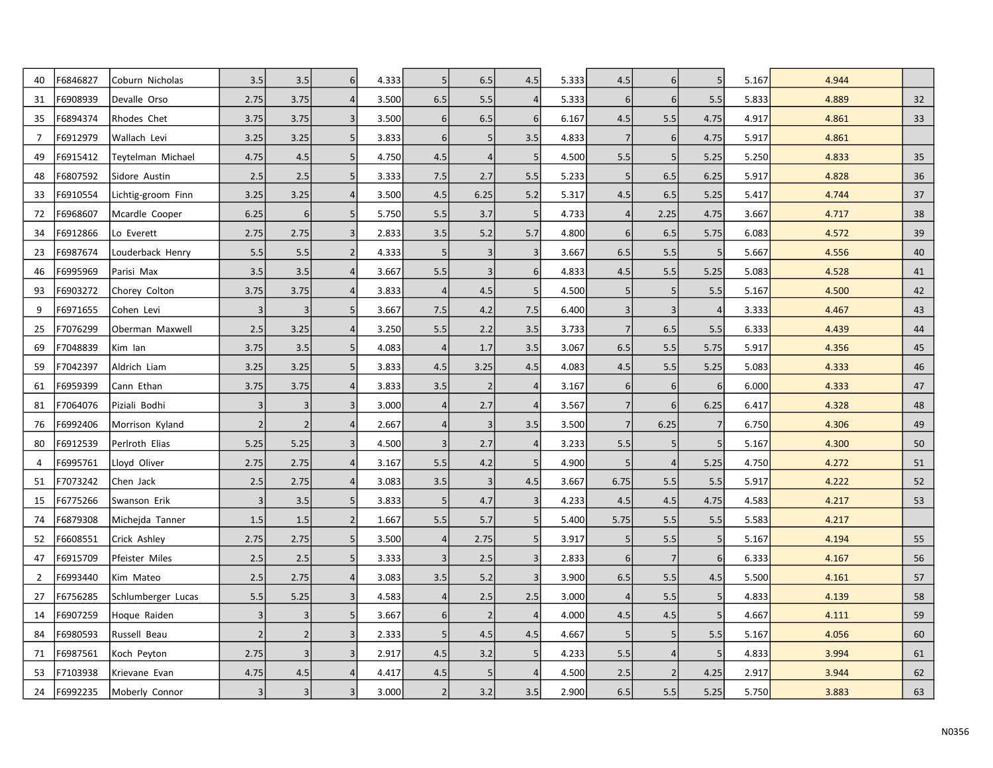| 40             | F6846827 | Coburn Nicholas    | 3.5            | 3.5            | 6 <sup>1</sup> | 4.333 | 5               | 6.5            | 4.5              | 5.333 | 4.5              | $6 \mid$       | 5               | 5.167 | 4.944 |    |
|----------------|----------|--------------------|----------------|----------------|----------------|-------|-----------------|----------------|------------------|-------|------------------|----------------|-----------------|-------|-------|----|
| 31             | F6908939 | Devalle Orso       | 2.75           | 3.75           | 4              | 3.500 | 6.5             | 5.5            |                  | 5.333 | $\boldsymbol{6}$ | 6 <sup>1</sup> | 5.5             | 5.833 | 4.889 | 32 |
| 35             | F6894374 | Rhodes Chet        | 3.75           | 3.75           | 3              | 3.500 | $6\vert$        | 6.5            | $6 \mid$         | 6.167 | 4.5              | 5.5            | 4.75            | 4.917 | 4.861 | 33 |
| 7              | F6912979 | Wallach Levi       | 3.25           | 3.25           | 5 <sup>1</sup> | 3.833 | $6 \mid$        | 5              | 3.5              | 4.833 | $\overline{7}$   | 6              | 4.75            | 5.917 | 4.861 |    |
| 49             | F6915412 | Teytelman Michael  | 4.75           | 4.5            | 5 <sup>1</sup> | 4.750 | 4.5             | 4              | 5                | 4.500 | 5.5              | 5 <sub>l</sub> | 5.25            | 5.250 | 4.833 | 35 |
| 48             | F6807592 | Sidore Austin      | 2.5            | 2.5            | 5 <sup>1</sup> | 3.333 | 7.5             | 2.7            | 5.5              | 5.233 | 5                | 6.5            | 6.25            | 5.917 | 4.828 | 36 |
| 33             | F6910554 | Lichtig-groom Finn | 3.25           | 3.25           | 4              | 3.500 | 4.5             | 6.25           | 5.2              | 5.317 | $4.5\,$          | 6.5            | 5.25            | 5.417 | 4.744 | 37 |
| 72             | F6968607 | Mcardle Cooper     | 6.25           | 6              | 5              | 5.750 | 5.5             | 3.7            | 5 <sub>l</sub>   | 4.733 | $\overline{4}$   | 2.25           | 4.75            | 3.667 | 4.717 | 38 |
| 34             | F6912866 | Lo Everett         | 2.75           | 2.75           | 3 <sup>1</sup> | 2.833 | 3.5             | 5.2            | 5.7              | 4.800 | 6                | 6.5            | 5.75            | 6.083 | 4.572 | 39 |
| 23             | F6987674 | Louderback Henry   | 5.5            | 5.5            | $\overline{2}$ | 4.333 | 5               | 3              | 3                | 3.667 | 6.5              | 5.5            | 5               | 5.667 | 4.556 | 40 |
| 46             | F6995969 | Parisi Max         | 3.5            | 3.5            | $\vert$        | 3.667 | 5.5             | 3              | $6 \overline{6}$ | 4.833 | 4.5              | 5.5            | 5.25            | 5.083 | 4.528 | 41 |
| 93             | F6903272 | Chorey Colton      | 3.75           | 3.75           | $\vert$        | 3.833 | $\vert$         | 4.5            | 5 <sup>1</sup>   | 4.500 | 5                | 5 <sub>l</sub> | 5.5             | 5.167 | 4.500 | 42 |
| 9              | F6971655 | Cohen Levi         | 3              | 3              | 5 <sub>l</sub> | 3.667 | 7.5             | 4.2            | 7.5              | 6.400 | $\mathsf{3}$     | 3              | $\overline{4}$  | 3.333 | 4.467 | 43 |
| 25             | F7076299 | Oberman Maxwell    | 2.5            | 3.25           | $\vert$        | 3.250 | 5.5             | 2.2            | 3.5              | 3.733 | $\overline{7}$   | 6.5            | 5.5             | 6.333 | 4.439 | 44 |
| 69             | F7048839 | Kim lan            | 3.75           | 3.5            | 5 <sup>1</sup> | 4.083 | $\vert$         | 1.7            | 3.5              | 3.067 | 6.5              | 5.5            | 5.75            | 5.917 | 4.356 | 45 |
| 59             | F7042397 | Aldrich Liam       | 3.25           | 3.25           | 5 <sup>1</sup> | 3.833 | 4.5             | 3.25           | 4.5              | 4.083 | 4.5              | 5.5            | 5.25            | 5.083 | 4.333 | 46 |
| 61             | F6959399 | Cann Ethan         | 3.75           | 3.75           | $\vert$        | 3.833 | 3.5             | $\overline{2}$ | $\overline{4}$   | 3.167 | 6                | 6              | $6\phantom{1}6$ | 6.000 | 4.333 | 47 |
| 81             | F7064076 | Piziali Bodhi      | $\overline{3}$ | 3              | 3              | 3.000 | $\vert 4 \vert$ | 2.7            | $\overline{4}$   | 3.567 | $\overline{7}$   | 6              | 6.25            | 6.417 | 4.328 | 48 |
| 76             | F6992406 | Morrison Kyland    | $\overline{2}$ | $\overline{2}$ | 4              | 2.667 | $\vert 4 \vert$ | 3              | 3.5              | 3.500 | $\overline{7}$   | 6.25           | $\overline{7}$  | 6.750 | 4.306 | 49 |
| 80             | F6912539 | Perlroth Elias     | 5.25           | 5.25           | 3              | 4.500 | $\overline{3}$  | 2.7            | 4                | 3.233 | 5.5              | 5              | 5               | 5.167 | 4.300 | 50 |
| $\overline{4}$ | F6995761 | Lloyd Oliver       | 2.75           | 2.75           | 4              | 3.167 | 5.5             | 4.2            | 5 <sub>5</sub>   | 4.900 | 5                | $\vert$        | 5.25            | 4.750 | 4.272 | 51 |
| 51             | F7073242 | Chen Jack          | 2.5            | 2.75           | $\vert$        | 3.083 | 3.5             | 3              | 4.5              | 3.667 | 6.75             | 5.5            | 5.5             | 5.917 | 4.222 | 52 |
| 15             | F6775266 | Swanson Erik       | $\overline{3}$ | 3.5            | 5 <sup>1</sup> | 3.833 | 5 <sup>1</sup>  | 4.7            | $\overline{3}$   | 4.233 | 4.5              | 4.5            | 4.75            | 4.583 | 4.217 | 53 |
| 74             | F6879308 | Michejda Tanner    | 1.5            | 1.5            | 2              | 1.667 | 5.5             | 5.7            | 5 <sup>1</sup>   | 5.400 | 5.75             | 5.5            | 5.5             | 5.583 | 4.217 |    |
| 52             | F6608551 | Crick Ashley       | 2.75           | 2.75           | 5 <sup>1</sup> | 3.500 | $\vert 4 \vert$ | 2.75           | 5 <sub>l</sub>   | 3.917 | 5                | 5.5            | 5               | 5.167 | 4.194 | 55 |
| 47             | F6915709 | Pfeister Miles     | 2.5            | 2.5            | 5 <sup>1</sup> | 3.333 | $\vert 3 \vert$ | 2.5            | 3                | 2.833 | $6\,$            | 7              | 6               | 6.333 | 4.167 | 56 |
| $\overline{2}$ | F6993440 | Kim Mateo          | 2.5            | 2.75           | 4              | 3.083 | 3.5             | 5.2            | 3 <sup>1</sup>   | 3.900 | 6.5              | 5.5            | 4.5             | 5.500 | 4.161 | 57 |
| 27             | F6756285 | Schlumberger Lucas | 5.5            | 5.25           | 3 <sup>1</sup> | 4.583 | $\vert$         | 2.5            | 2.5              | 3.000 | $\overline{4}$   | 5.5            | 5               | 4.833 | 4.139 | 58 |
| 14             | F6907259 | Hoque Raiden       | 3              | $\overline{3}$ | 5 <sup>1</sup> | 3.667 | $6 \mid$        | $\overline{2}$ | $\overline{4}$   | 4.000 | 4.5              | 4.5            | 5               | 4.667 | 4.111 | 59 |
| 84             | F6980593 | Russell Beau       | $\overline{2}$ | $\overline{2}$ | 3              | 2.333 | 5 <sup>1</sup>  | 4.5            | 4.5              | 4.667 | 5                | 5 <sup>1</sup> | 5.5             | 5.167 | 4.056 | 60 |
| 71             | F6987561 | Koch Peyton        | 2.75           | $\overline{3}$ | 3              | 2.917 | 4.5             | 3.2            | 5 <sub>5</sub>   | 4.233 | 5.5              | $\vert$        | 5               | 4.833 | 3.994 | 61 |
| 53             | F7103938 | Krievane Evan      | 4.75           | 4.5            | $\vert$        | 4.417 | 4.5             | 5              | $\overline{4}$   | 4.500 | 2.5              | $\overline{2}$ | 4.25            | 2.917 | 3.944 | 62 |
| 24             | F6992235 | Moberly Connor     | $\overline{3}$ | $\overline{3}$ | 3              | 3.000 | $\overline{2}$  | 3.2            | 3.5              | 2.900 | 6.5              | 5.5            | 5.25            | 5.750 | 3.883 | 63 |